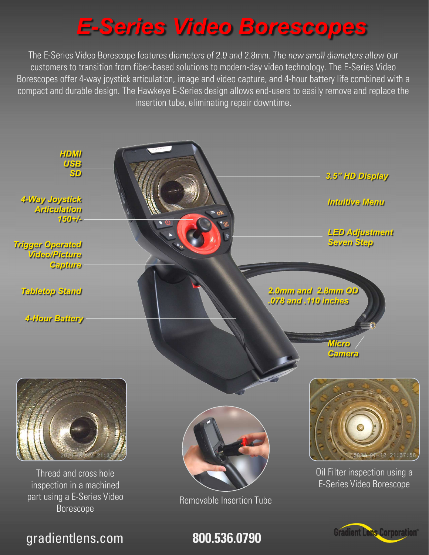## E-Series Video Borescopes

The E-Series Video Borescope features diameters of 2.0 and 2.8mm. The new small diameters allow our customers to transition from fiber-based solutions to modern-day video technology. The E-Series Video Borescopes offer 4-way joystick articulation, image and video capture, and 4-hour battery life combined with a compact and durable design. The Hawkeye E-Series design allows end-users to easily remove and replace the insertion tube, eliminating repair downtime.



gradientlens.com **800.536.0790**